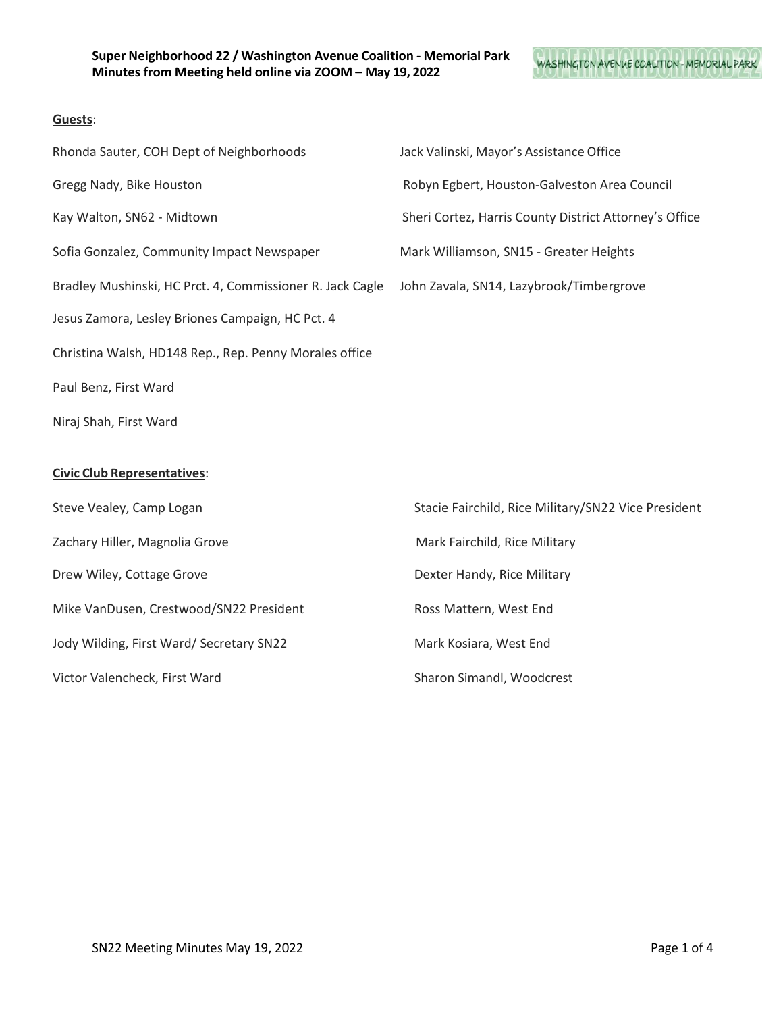# WASHINGTON AVENUE COALITION - MEMORIAL PARK

## **Guests**:

| Rhonda Sauter, COH Dept of Neighborhoods                  | Jack Valinski, Mayor's Assistance Office               |
|-----------------------------------------------------------|--------------------------------------------------------|
| Gregg Nady, Bike Houston                                  | Robyn Egbert, Houston-Galveston Area Council           |
| Kay Walton, SN62 - Midtown                                | Sheri Cortez, Harris County District Attorney's Office |
| Sofia Gonzalez, Community Impact Newspaper                | Mark Williamson, SN15 - Greater Heights                |
| Bradley Mushinski, HC Prct. 4, Commissioner R. Jack Cagle | John Zavala, SN14, Lazybrook/Timbergrove               |
| Jesus Zamora, Lesley Briones Campaign, HC Pct. 4          |                                                        |
| Christina Walsh, HD148 Rep., Rep. Penny Morales office    |                                                        |
| Paul Benz, First Ward                                     |                                                        |
| Niraj Shah, First Ward                                    |                                                        |
|                                                           |                                                        |
| <b>Civic Club Representatives:</b>                        |                                                        |
| Steve Vealey, Camp Logan                                  | Stacie Fairchild, Rice Military/SN22 Vice President    |
| Zachary Hiller, Magnolia Grove                            | Mark Fairchild, Rice Military                          |
| Drew Wiley, Cottage Grove                                 | Dexter Handy, Rice Military                            |

Jody Wilding, First Ward/ Secretary SN22 Mark Kosiara, West End

Victor Valencheck, First Ward Sharon Simandl, Woodcrest

Mike VanDusen, Crestwood/SN22 President Ross Mattern, West End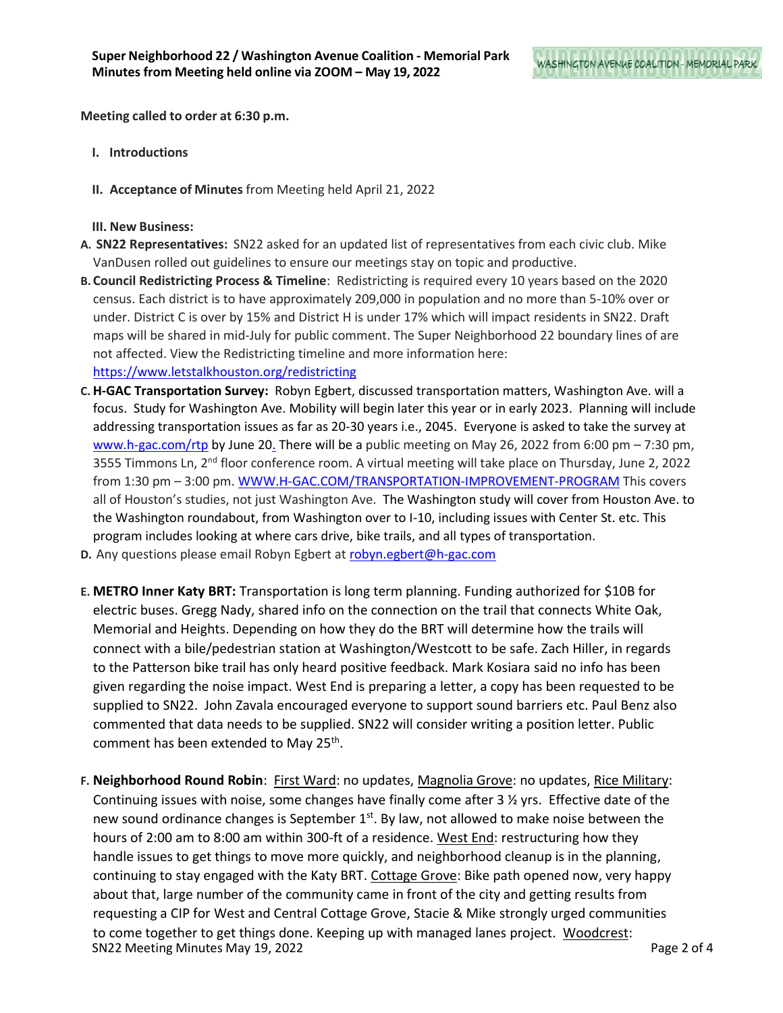**Meeting called to order at 6:30 p.m.**

- **I. Introductions**
- **II. Acceptance of Minutes** from Meeting held April 21, 2022

**III. New Business:**

- **A. SN22 Representatives:** SN22 asked for an updated list of representatives from each civic club. Mike VanDusen rolled out guidelines to ensure our meetings stay on topic and productive.
- **B.Council Redistricting Process & Timeline**: Redistricting is required every 10 years based on the 2020 census. Each district is to have approximately 209,000 in population and no more than 5-10% over or under. District C is over by 15% and District H is under 17% which will impact residents in SN22. Draft maps will be shared in mid-July for public comment. The Super Neighborhood 22 boundary lines of are not affected. View the Redistricting timeline and more information here: <https://www.letstalkhouston.org/redistricting>
- **C. H-GAC Transportation Survey:** Robyn Egbert, discussed transportation matters, Washington Ave. will a focus. Study for Washington Ave. Mobility will begin later this year or in early 2023. Planning will include addressing transportation issues as far as 20-30 years i.e., 2045. Everyone is asked to take the survey at [www.h-gac.com/rtp](http://www.h-gac.com/rtp) by June 20. There will be a public meeting on May 26, 2022 from 6:00 pm – 7:30 pm, 3555 Timmons Ln, 2<sup>nd</sup> floor conference room. A virtual meeting will take place on Thursday, June 2, 2022 from 1:30 pm – 3:00 pm. [WWW.H-GAC.COM/TRANSPORTATION-IMPROVEMENT-PROGRAM](http://www.h-gac.com/TRANSPORTATION-IMPROVEMENT-PROGRAM) This covers all of Houston's studies, not just Washington Ave. The Washington study will cover from Houston Ave. to the Washington roundabout, from Washington over to I-10, including issues with Center St. etc. This program includes looking at where cars drive, bike trails, and all types of transportation.
- **D.** Any questions please email Robyn Egbert at [robyn.egbert@h-gac.com](mailto:robyn.egbert@h-gac.com)
- **E. METRO Inner Katy BRT:** Transportation is long term planning. Funding authorized for \$10B for electric buses. Gregg Nady, shared info on the connection on the trail that connects White Oak, Memorial and Heights. Depending on how they do the BRT will determine how the trails will connect with a bile/pedestrian station at Washington/Westcott to be safe. Zach Hiller, in regards to the Patterson bike trail has only heard positive feedback. Mark Kosiara said no info has been given regarding the noise impact. West End is preparing a letter, a copy has been requested to be supplied to SN22. John Zavala encouraged everyone to support sound barriers etc. Paul Benz also commented that data needs to be supplied. SN22 will consider writing a position letter. Public comment has been extended to May 25<sup>th</sup>.
- SN22 Meeting Minutes May 19, 2022 **Page 2 of 4 F. Neighborhood Round Robin**: First Ward: no updates, Magnolia Grove: no updates, Rice Military: Continuing issues with noise, some changes have finally come after  $3 \frac{1}{2}$  yrs. Effective date of the new sound ordinance changes is September  $1<sup>st</sup>$ . By law, not allowed to make noise between the hours of 2:00 am to 8:00 am within 300-ft of a residence. West End: restructuring how they handle issues to get things to move more quickly, and neighborhood cleanup is in the planning, continuing to stay engaged with the Katy BRT. Cottage Grove: Bike path opened now, very happy about that, large number of the community came in front of the city and getting results from requesting a CIP for West and Central Cottage Grove, Stacie & Mike strongly urged communities to come together to get things done. Keeping up with managed lanes project. Woodcrest: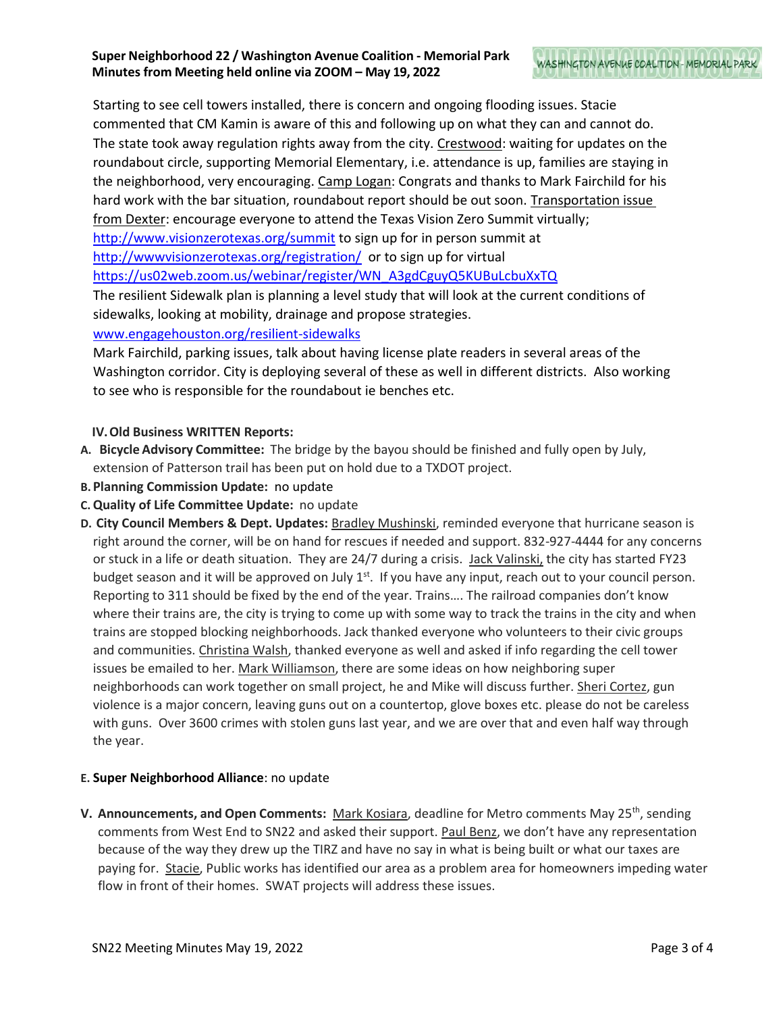## **Super Neighborhood 22 / Washington Avenue Coalition - Memorial Park Minutes from Meeting held online via ZOOM – May 19, 2022**

Starting to see cell towers installed, there is concern and ongoing flooding issues. Stacie commented that CM Kamin is aware of this and following up on what they can and cannot do. The state took away regulation rights away from the city. Crestwood: waiting for updates on the roundabout circle, supporting Memorial Elementary, i.e. attendance is up, families are staying in the neighborhood, very encouraging. Camp Logan: Congrats and thanks to Mark Fairchild for his hard work with the bar situation, roundabout report should be out soon. Transportation issue from Dexter: encourage everyone to attend the Texas Vision Zero Summit virtually; <http://www.visionzerotexas.org/summit> to sign up for in person summit at <http://wwwvisionzerotexas.org/registration/>or to sign up for virtual [https://us02web.zoom.us/webinar/register/WN\\_A3gdCguyQ5KUBuLcbuXxTQ](https://us02web.zoom.us/webinar/register/WN_A3gdCguyQ5KUBuLcbuXxTQ)

The resilient Sidewalk plan is planning a level study that will look at the current conditions of sidewalks, looking at mobility, drainage and propose strategies.

[www.engagehouston.org/resilient-sidewalks](http://www.engagehouston.org/resilient-sidewalks)

Mark Fairchild, parking issues, talk about having license plate readers in several areas of the Washington corridor. City is deploying several of these as well in different districts. Also working to see who is responsible for the roundabout ie benches etc.

## **IV.Old Business WRITTEN Reports:**

- **A. Bicycle Advisory Committee:** The bridge by the bayou should be finished and fully open by July, extension of Patterson trail has been put on hold due to a TXDOT project.
- **B.Planning Commission Update:** no update
- **C.Quality of Life Committee Update:** no update
- **D. City Council Members & Dept. Updates:** Bradley Mushinski, reminded everyone that hurricane season is right around the corner, will be on hand for rescues if needed and support. 832-927-4444 for any concerns or stuck in a life or death situation. They are 24/7 during a crisis. Jack Valinski, the city has started FY23 budget season and it will be approved on July  $1^{st}$ . If you have any input, reach out to your council person. Reporting to 311 should be fixed by the end of the year. Trains…. The railroad companies don't know where their trains are, the city is trying to come up with some way to track the trains in the city and when trains are stopped blocking neighborhoods. Jack thanked everyone who volunteers to their civic groups and communities. Christina Walsh, thanked everyone as well and asked if info regarding the cell tower issues be emailed to her. Mark Williamson, there are some ideas on how neighboring super neighborhoods can work together on small project, he and Mike will discuss further. Sheri Cortez, gun violence is a major concern, leaving guns out on a countertop, glove boxes etc. please do not be careless with guns. Over 3600 crimes with stolen guns last year, and we are over that and even half way through the year.

## **E. Super Neighborhood Alliance**: no update

**V. Announcements, and Open Comments:** Mark Kosiara, deadline for Metro comments May 25th, sending comments from West End to SN22 and asked their support. Paul Benz, we don't have any representation because of the way they drew up the TIRZ and have no say in what is being built or what our taxes are paying for. Stacie, Public works has identified our area as a problem area for homeowners impeding water flow in front of their homes. SWAT projects will address these issues.

WASHINGTON AVENUE COALITION - MEMORIAL PARK